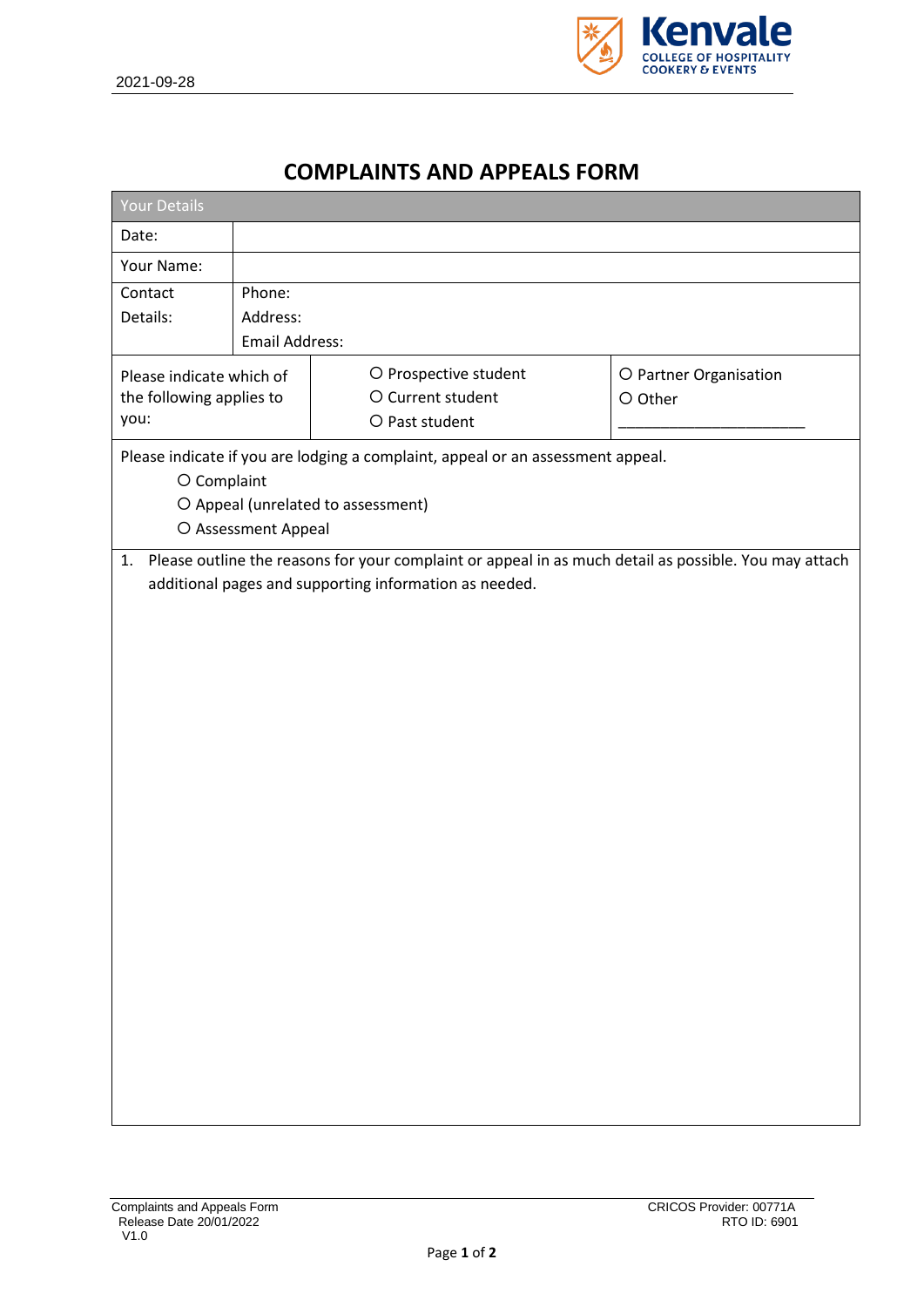

## **COMPLAINTS AND APPEALS FORM**

| <b>Your Details</b>                                                                                                                                                                                                                                                                                                               |                                      |                                                              |                                   |  |  |  |  |  |
|-----------------------------------------------------------------------------------------------------------------------------------------------------------------------------------------------------------------------------------------------------------------------------------------------------------------------------------|--------------------------------------|--------------------------------------------------------------|-----------------------------------|--|--|--|--|--|
| Date:                                                                                                                                                                                                                                                                                                                             |                                      |                                                              |                                   |  |  |  |  |  |
| Your Name:                                                                                                                                                                                                                                                                                                                        |                                      |                                                              |                                   |  |  |  |  |  |
| Contact<br>Details:                                                                                                                                                                                                                                                                                                               | Phone:<br>Address:<br>Email Address: |                                                              |                                   |  |  |  |  |  |
| Please indicate which of<br>the following applies to<br>you:                                                                                                                                                                                                                                                                      |                                      | O Prospective student<br>O Current student<br>O Past student | O Partner Organisation<br>O Other |  |  |  |  |  |
| Please indicate if you are lodging a complaint, appeal or an assessment appeal.<br>O Complaint<br>O Appeal (unrelated to assessment)<br>O Assessment Appeal<br>1. Please outline the reasons for your complaint or appeal in as much detail as possible. You may attach<br>additional pages and supporting information as needed. |                                      |                                                              |                                   |  |  |  |  |  |
|                                                                                                                                                                                                                                                                                                                                   |                                      |                                                              |                                   |  |  |  |  |  |